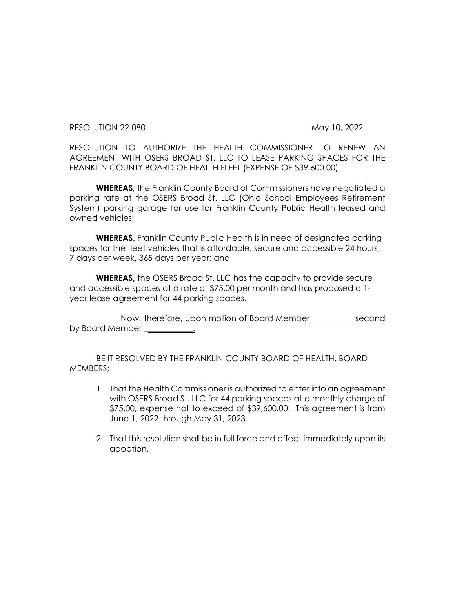RESOLUTION 22-080 May 10, 2022

RESOLUTION TO AUTHORIZE THE HEALTH COMMISSIONER TO RENEW AN AGREEMENT WITH OSERS BROAD ST. LLC TO LEASE PARKING SPACES FOR THE FRANKLIN COUNTY BOARD OF HEALTH FLEET (EXPENSE OF \$39,600.00)

**WHEREAS**, the Franklin County Board of Commissioners have negotiated a parking rate at the OSERS Broad St. LLC (Ohio School Employees Retirement System) parking garage for use for Franklin County Public Health leased and owned vehicles;

**WHEREAS,** Franklin County Public Health is in need of designated parking spaces for the fleet vehicles that is affordable, secure and accessible 24 hours, 7 days per week, 365 days per year; and

**WHEREAS,** the OSERS Broad St. LLC has the capacity to provide secure and accessible spaces at a rate of \$75.00 per month and has proposed a 1 year lease agreement for 44 parking spaces.

Now, therefore, upon motion of Board Member \_\_\_\_\_\_\_\_\_\_ second by Board Member  $\qquad \qquad \ldots$ 

BE IT RESOLVED BY THE FRANKLIN COUNTY BOARD OF HEALTH, BOARD MEMBERS;

- 1. That the Health Commissioner is authorized to enter into an agreement with OSERS Broad St. LLC for 44 parking spaces at a monthly charge of \$75.00, expense not to exceed of \$39,600.00. This agreement is from June 1, 2022 through May 31, 2023.
- 2. That this resolution shall be in full force and effect immediately upon its adoption.